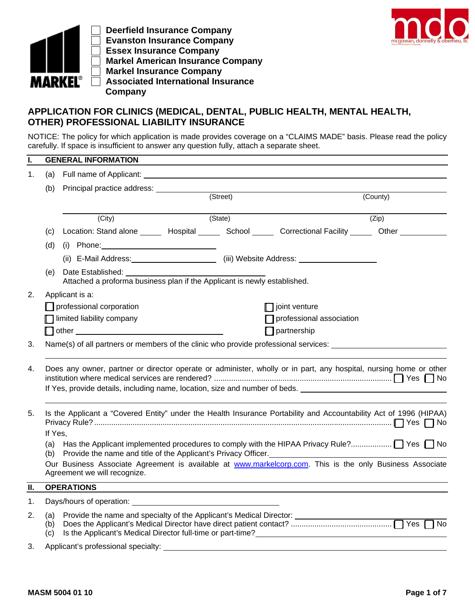

 **Deerfield Insurance Company Evanston Insurance Company Essex Insurance Company Markel American Insurance Company Markel Insurance Company Associated International Insurance Company**



## **APPLICATION FOR CLINICS (MEDICAL, DENTAL, PUBLIC HEALTH, MENTAL HEALTH, OTHER) PROFESSIONAL LIABILITY INSURANCE**

NOTICE: The policy for which application is made provides coverage on a "CLAIMS MADE" basis. Please read the policy carefully. If space is insufficient to answer any question fully, attach a separate sheet.

| I.                          |                                                                                                                                                                                                  | <b>GENERAL INFORMATION</b>                                                                                                                                                                                 |          |                          |          |  |  |  |  |
|-----------------------------|--------------------------------------------------------------------------------------------------------------------------------------------------------------------------------------------------|------------------------------------------------------------------------------------------------------------------------------------------------------------------------------------------------------------|----------|--------------------------|----------|--|--|--|--|
| 1.                          | (a)                                                                                                                                                                                              |                                                                                                                                                                                                            |          |                          |          |  |  |  |  |
|                             | (b)                                                                                                                                                                                              |                                                                                                                                                                                                            | (Street) |                          | (County) |  |  |  |  |
|                             |                                                                                                                                                                                                  | (City)                                                                                                                                                                                                     | (State)  |                          | (Zip)    |  |  |  |  |
|                             | (c)                                                                                                                                                                                              | Location: Stand alone ______ Hospital ______ School ______ Correctional Facility ______ Other ___________                                                                                                  |          |                          |          |  |  |  |  |
|                             | (d)                                                                                                                                                                                              |                                                                                                                                                                                                            |          |                          |          |  |  |  |  |
|                             |                                                                                                                                                                                                  |                                                                                                                                                                                                            |          |                          |          |  |  |  |  |
|                             | (e)                                                                                                                                                                                              | Date Established:<br>Attached a proforma business plan if the Applicant is newly established.                                                                                                              |          |                          |          |  |  |  |  |
| 2.                          |                                                                                                                                                                                                  | Applicant is a:                                                                                                                                                                                            |          |                          |          |  |  |  |  |
|                             |                                                                                                                                                                                                  | professional corporation                                                                                                                                                                                   |          | $\Box$ joint venture     |          |  |  |  |  |
|                             |                                                                                                                                                                                                  | Ilimited liability company                                                                                                                                                                                 |          | professional association |          |  |  |  |  |
|                             |                                                                                                                                                                                                  | other and the contract of the contract of the contract of the contract of the contract of the contract of the                                                                                              |          | $\Box$ partnership       |          |  |  |  |  |
| 3.                          |                                                                                                                                                                                                  | Name(s) of all partners or members of the clinic who provide professional services:                                                                                                                        |          |                          |          |  |  |  |  |
| 4.                          | Does any owner, partner or director operate or administer, wholly or in part, any hospital, nursing home or other<br>If Yes, provide details, including name, location, size and number of beds. |                                                                                                                                                                                                            |          |                          |          |  |  |  |  |
| 5.                          | If Yes,                                                                                                                                                                                          | Is the Applicant a "Covered Entity" under the Health Insurance Portability and Accountability Act of 1996 (HIPAA)                                                                                          |          |                          |          |  |  |  |  |
|                             | (a)<br>(b)                                                                                                                                                                                       | Provide the name and title of the Applicant's Privacy Officer.<br>Our Business Associate Agreement is available at www.markelcorp.com. This is the only Business Associate<br>Agreement we will recognize. |          |                          |          |  |  |  |  |
| $\overline{\mathfrak{n}}$ . |                                                                                                                                                                                                  | <b>OPERATIONS</b>                                                                                                                                                                                          |          |                          |          |  |  |  |  |
| 1.                          |                                                                                                                                                                                                  |                                                                                                                                                                                                            |          |                          |          |  |  |  |  |
| 2.                          | (a)<br>(b)<br>(c)                                                                                                                                                                                | Is the Applicant's Medical Director full-time or part-time?                                                                                                                                                |          |                          |          |  |  |  |  |
| 3.                          |                                                                                                                                                                                                  | Applicant's professional specialty:                                                                                                                                                                        |          |                          |          |  |  |  |  |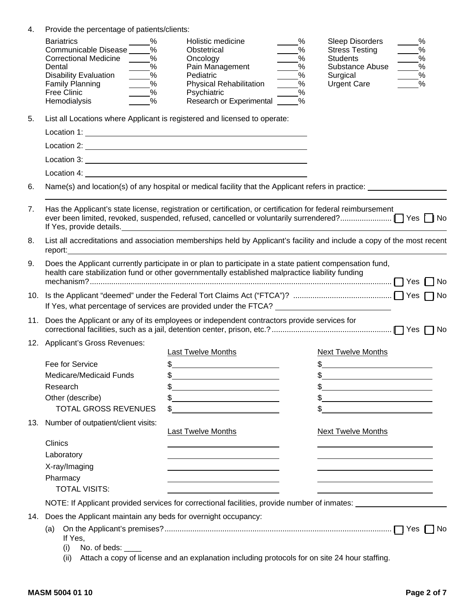| 4.  | Provide the percentage of patients/clients:                                                                                                                                                                                                        |                                                                                                                                                                                                                                 |                                                                                                                                                         |  |  |  |  |  |
|-----|----------------------------------------------------------------------------------------------------------------------------------------------------------------------------------------------------------------------------------------------------|---------------------------------------------------------------------------------------------------------------------------------------------------------------------------------------------------------------------------------|---------------------------------------------------------------------------------------------------------------------------------------------------------|--|--|--|--|--|
|     | <b>Bariatrics</b><br>%<br>Communicable Disease _____%<br>Correctional Medicine ____<br>$\frac{9}{6}$<br>%<br>Dental<br><b>Disability Evaluation</b><br>$\frac{9}{6}$<br>%<br><b>Family Planning</b><br>$\%$<br>Free Clinic<br>$\%$<br>Hemodialysis | %<br>Holistic medicine<br>$\frac{0}{2}$<br>Obstetrical<br>$\frac{9}{6}$<br>Oncology<br>Pain Management<br>$\%$<br>Pediatric<br>%<br><b>Physical Rehabilitation</b><br>%<br>Psychiatric<br>$\%$<br>Research or Experimental<br>% | Sleep Disorders<br>%<br><b>Stress Testing</b><br>$\%$<br><b>Students</b><br>$\%$<br>Substance Abuse<br>$\%$<br>Surgical<br>%<br><b>Urgent Care</b><br>% |  |  |  |  |  |
| 5.  |                                                                                                                                                                                                                                                    | List all Locations where Applicant is registered and licensed to operate:                                                                                                                                                       |                                                                                                                                                         |  |  |  |  |  |
|     |                                                                                                                                                                                                                                                    |                                                                                                                                                                                                                                 |                                                                                                                                                         |  |  |  |  |  |
|     |                                                                                                                                                                                                                                                    |                                                                                                                                                                                                                                 |                                                                                                                                                         |  |  |  |  |  |
|     |                                                                                                                                                                                                                                                    |                                                                                                                                                                                                                                 |                                                                                                                                                         |  |  |  |  |  |
|     |                                                                                                                                                                                                                                                    |                                                                                                                                                                                                                                 |                                                                                                                                                         |  |  |  |  |  |
| 6.  |                                                                                                                                                                                                                                                    | Name(s) and location(s) of any hospital or medical facility that the Applicant refers in practice:                                                                                                                              |                                                                                                                                                         |  |  |  |  |  |
| 7.  |                                                                                                                                                                                                                                                    | Has the Applicant's state license, registration or certification, or certification for federal reimbursement                                                                                                                    |                                                                                                                                                         |  |  |  |  |  |
| 8.  | report:                                                                                                                                                                                                                                            |                                                                                                                                                                                                                                 | List all accreditations and association memberships held by Applicant's facility and include a copy of the most recent                                  |  |  |  |  |  |
| 9.  |                                                                                                                                                                                                                                                    | Does the Applicant currently participate in or plan to participate in a state patient compensation fund,<br>health care stabilization fund or other governmentally established malpractice liability funding                    |                                                                                                                                                         |  |  |  |  |  |
|     |                                                                                                                                                                                                                                                    |                                                                                                                                                                                                                                 |                                                                                                                                                         |  |  |  |  |  |
|     |                                                                                                                                                                                                                                                    | 11. Does the Applicant or any of its employees or independent contractors provide services for                                                                                                                                  |                                                                                                                                                         |  |  |  |  |  |
|     | 12. Applicant's Gross Revenues:                                                                                                                                                                                                                    |                                                                                                                                                                                                                                 |                                                                                                                                                         |  |  |  |  |  |
|     | Fee for Service                                                                                                                                                                                                                                    | <b>Last Twelve Months</b><br>$\frac{1}{2}$                                                                                                                                                                                      | <b>Next Twelve Months</b><br>$\frac{1}{2}$                                                                                                              |  |  |  |  |  |
|     | Medicare/Medicaid Funds                                                                                                                                                                                                                            | \$                                                                                                                                                                                                                              | \$                                                                                                                                                      |  |  |  |  |  |
|     | Research                                                                                                                                                                                                                                           | the control of the control of the control of the control of the control of the control of                                                                                                                                       | \$                                                                                                                                                      |  |  |  |  |  |
|     | Other (describe)                                                                                                                                                                                                                                   | \$<br><u> 1989 - Johann Barbara, martxa alemaniar a</u>                                                                                                                                                                         | $\frac{1}{2}$                                                                                                                                           |  |  |  |  |  |
|     | <b>TOTAL GROSS REVENUES</b>                                                                                                                                                                                                                        | \$.<br><u> 1989 - Johann Barnett, fransk politik (d. 1989)</u>                                                                                                                                                                  | \$<br><u> 1980 - Johann Stoff, fransk politik (d. 1980)</u>                                                                                             |  |  |  |  |  |
| 13. | Number of outpatient/client visits:                                                                                                                                                                                                                | <b>Last Twelve Months</b>                                                                                                                                                                                                       | <b>Next Twelve Months</b>                                                                                                                               |  |  |  |  |  |
|     | <b>Clinics</b>                                                                                                                                                                                                                                     |                                                                                                                                                                                                                                 |                                                                                                                                                         |  |  |  |  |  |
|     | Laboratory                                                                                                                                                                                                                                         |                                                                                                                                                                                                                                 |                                                                                                                                                         |  |  |  |  |  |
|     | X-ray/Imaging                                                                                                                                                                                                                                      | the contract of the contract of the contract of the contract of the contract of                                                                                                                                                 |                                                                                                                                                         |  |  |  |  |  |
|     | Pharmacy<br><b>TOTAL VISITS:</b>                                                                                                                                                                                                                   | the contract of the contract of the contract of the contract of the contract of                                                                                                                                                 | <u> 1989 - Johann Stoff, deutscher Stoffen und der Stoffen und der Stoffen und der Stoffen und der Stoffen und der</u>                                  |  |  |  |  |  |
|     |                                                                                                                                                                                                                                                    |                                                                                                                                                                                                                                 | NOTE: If Applicant provided services for correctional facilities, provide number of inmates:                                                            |  |  |  |  |  |
|     | 14. Does the Applicant maintain any beds for overnight occupancy:                                                                                                                                                                                  |                                                                                                                                                                                                                                 |                                                                                                                                                         |  |  |  |  |  |
|     | (a)                                                                                                                                                                                                                                                |                                                                                                                                                                                                                                 | No                                                                                                                                                      |  |  |  |  |  |
|     | If Yes,<br>No. of beds: ____<br>(i)                                                                                                                                                                                                                |                                                                                                                                                                                                                                 |                                                                                                                                                         |  |  |  |  |  |

(ii) Attach a copy of license and an explanation including protocols for on site 24 hour staffing.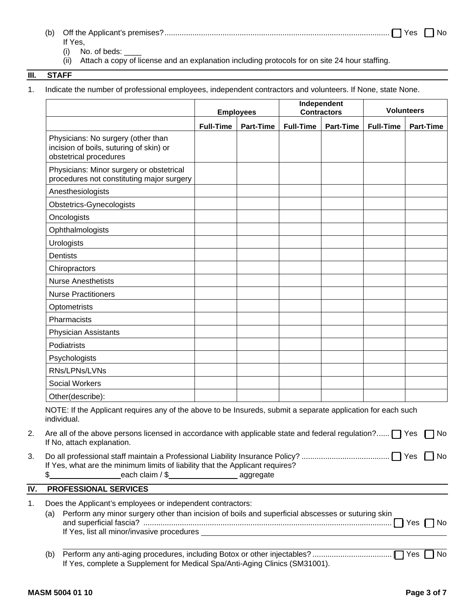| It Yes                   |  |
|--------------------------|--|
| $\sqrt{2}$<br>No of bodo |  |

- (i) No. of beds:
- (ii) Attach a copy of license and an explanation including protocols for on site 24 hour staffing.

### **III. STAFF**

1. Indicate the number of professional employees, independent contractors and volunteers. If None, state None.

|                                                                                                                                                                                                                                                                                                                                                                                                                | <b>Employees</b> |                  | Independent<br><b>Contractors</b> |                  | <b>Volunteers</b> |                  |
|----------------------------------------------------------------------------------------------------------------------------------------------------------------------------------------------------------------------------------------------------------------------------------------------------------------------------------------------------------------------------------------------------------------|------------------|------------------|-----------------------------------|------------------|-------------------|------------------|
|                                                                                                                                                                                                                                                                                                                                                                                                                | <b>Full-Time</b> | <b>Part-Time</b> | <b>Full-Time</b>                  | <b>Part-Time</b> | <b>Full-Time</b>  | <b>Part-Time</b> |
| Physicians: No surgery (other than<br>incision of boils, suturing of skin) or<br>obstetrical procedures                                                                                                                                                                                                                                                                                                        |                  |                  |                                   |                  |                   |                  |
| Physicians: Minor surgery or obstetrical<br>procedures not constituting major surgery                                                                                                                                                                                                                                                                                                                          |                  |                  |                                   |                  |                   |                  |
| Anesthesiologists                                                                                                                                                                                                                                                                                                                                                                                              |                  |                  |                                   |                  |                   |                  |
| Obstetrics-Gynecologists                                                                                                                                                                                                                                                                                                                                                                                       |                  |                  |                                   |                  |                   |                  |
| Oncologists                                                                                                                                                                                                                                                                                                                                                                                                    |                  |                  |                                   |                  |                   |                  |
| Ophthalmologists                                                                                                                                                                                                                                                                                                                                                                                               |                  |                  |                                   |                  |                   |                  |
| <b>Urologists</b>                                                                                                                                                                                                                                                                                                                                                                                              |                  |                  |                                   |                  |                   |                  |
| <b>Dentists</b>                                                                                                                                                                                                                                                                                                                                                                                                |                  |                  |                                   |                  |                   |                  |
| Chiropractors                                                                                                                                                                                                                                                                                                                                                                                                  |                  |                  |                                   |                  |                   |                  |
| <b>Nurse Anesthetists</b>                                                                                                                                                                                                                                                                                                                                                                                      |                  |                  |                                   |                  |                   |                  |
| <b>Nurse Practitioners</b>                                                                                                                                                                                                                                                                                                                                                                                     |                  |                  |                                   |                  |                   |                  |
| Optometrists                                                                                                                                                                                                                                                                                                                                                                                                   |                  |                  |                                   |                  |                   |                  |
| Pharmacists                                                                                                                                                                                                                                                                                                                                                                                                    |                  |                  |                                   |                  |                   |                  |
| <b>Physician Assistants</b>                                                                                                                                                                                                                                                                                                                                                                                    |                  |                  |                                   |                  |                   |                  |
| Podiatrists                                                                                                                                                                                                                                                                                                                                                                                                    |                  |                  |                                   |                  |                   |                  |
| Psychologists                                                                                                                                                                                                                                                                                                                                                                                                  |                  |                  |                                   |                  |                   |                  |
| RNs/LPNs/LVNs                                                                                                                                                                                                                                                                                                                                                                                                  |                  |                  |                                   |                  |                   |                  |
| <b>Social Workers</b>                                                                                                                                                                                                                                                                                                                                                                                          |                  |                  |                                   |                  |                   |                  |
| Other(describe):                                                                                                                                                                                                                                                                                                                                                                                               |                  |                  |                                   |                  |                   |                  |
| NOTE: If the Applicant requires any of the above to be Insureds, submit a separate application for each such<br>individual.                                                                                                                                                                                                                                                                                    |                  |                  |                                   |                  |                   |                  |
| Are all of the above persons licensed in accordance with applicable state and federal regulation? [ Yes<br>If No, attach explanation.                                                                                                                                                                                                                                                                          |                  |                  |                                   |                  |                   | No.              |
| $\Box$ No<br>If Yes, what are the minimum limits of liability that the Applicant requires?<br>each claim / \$_________________________ aggregate<br>\$                                                                                                                                                                                                                                                         |                  |                  |                                   |                  |                   |                  |
| <b>PROFESSIONAL SERVICES</b>                                                                                                                                                                                                                                                                                                                                                                                   |                  |                  |                                   |                  |                   |                  |
| Does the Applicant's employees or independent contractors:<br>Perform any minor surgery other than incision of boils and superficial abscesses or suturing skin<br>(a)<br>If Yes, list all minor/invasive procedures <b>express that the example of the control of the control of the control of the control of the control of the control of the control of the control of the control of the control of </b> |                  |                  |                                   |                  |                   |                  |
| (b)                                                                                                                                                                                                                                                                                                                                                                                                            |                  |                  |                                   |                  |                   | No               |

If Yes, complete a Supplement for Medical Spa/Anti-Aging Clinics (SM31001).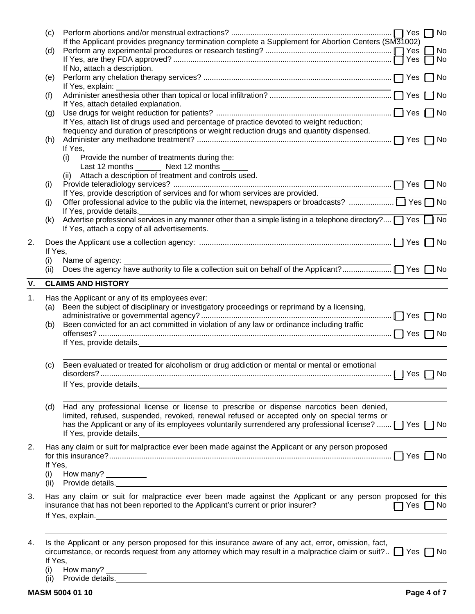|    | (d)         | If the Applicant provides pregnancy termination complete a Supplement for Abortion Centers (SM31002)                                                                                                                           |                            |  |
|----|-------------|--------------------------------------------------------------------------------------------------------------------------------------------------------------------------------------------------------------------------------|----------------------------|--|
|    |             |                                                                                                                                                                                                                                |                            |  |
|    |             | If No, attach a description.                                                                                                                                                                                                   |                            |  |
|    | (e)         | If Yes, explain:                                                                                                                                                                                                               |                            |  |
|    | (f)         | If Yes, attach detailed explanation.                                                                                                                                                                                           |                            |  |
|    | (g)         |                                                                                                                                                                                                                                |                            |  |
|    |             | If Yes, attach list of drugs used and percentage of practice devoted to weight reduction;<br>frequency and duration of prescriptions or weight reduction drugs and quantity dispensed.                                         |                            |  |
|    | (h)         |                                                                                                                                                                                                                                |                            |  |
|    |             | If Yes,                                                                                                                                                                                                                        |                            |  |
|    |             | Provide the number of treatments during the:<br>(i)<br>Last 12 months ________ Next 12 months _______                                                                                                                          |                            |  |
|    |             | Attach a description of treatment and controls used.<br>(ii)                                                                                                                                                                   |                            |  |
|    | (i)         |                                                                                                                                                                                                                                |                            |  |
|    |             |                                                                                                                                                                                                                                |                            |  |
|    | (i)         |                                                                                                                                                                                                                                |                            |  |
|    |             | If Yes, provide details.                                                                                                                                                                                                       |                            |  |
|    | (k)         | Advertise professional services in any manner other than a simple listing in a telephone directory? T Yes T No<br>If Yes, attach a copy of all advertisements.                                                                 |                            |  |
| 2. |             |                                                                                                                                                                                                                                |                            |  |
|    | If Yes,     |                                                                                                                                                                                                                                |                            |  |
|    | (i)         | Name of agency:                                                                                                                                                                                                                |                            |  |
|    | (ii)        |                                                                                                                                                                                                                                |                            |  |
| V. |             | <b>CLAIMS AND HISTORY</b>                                                                                                                                                                                                      |                            |  |
| 1. |             | Has the Applicant or any of its employees ever:                                                                                                                                                                                |                            |  |
|    | (a)         | Been the subject of disciplinary or investigatory proceedings or reprimand by a licensing,                                                                                                                                     |                            |  |
|    |             |                                                                                                                                                                                                                                |                            |  |
|    | (b)         | Been convicted for an act committed in violation of any law or ordinance including traffic                                                                                                                                     |                            |  |
|    |             | If Yes, provide details. The contract of the contract of the contract of the contract of the contract of the contract of the contract of the contract of the contract of the contract of the contract of the contract of the c |                            |  |
|    |             |                                                                                                                                                                                                                                |                            |  |
|    |             |                                                                                                                                                                                                                                |                            |  |
|    | (c)         | Been evaluated or treated for alcoholism or drug addiction or mental or mental or emotional                                                                                                                                    |                            |  |
|    |             | disorders?                                                                                                                                                                                                                     |                            |  |
|    |             |                                                                                                                                                                                                                                |                            |  |
|    |             |                                                                                                                                                                                                                                |                            |  |
|    | (d)         | Had any professional license or license to prescribe or dispense narcotics been denied,                                                                                                                                        |                            |  |
|    |             | limited, refused, suspended, revoked, renewal refused or accepted only on special terms or                                                                                                                                     |                            |  |
|    |             | has the Applicant or any of its employees voluntarily surrendered any professional license? $\Box$ Yes $\Box$ No                                                                                                               |                            |  |
|    |             | If Yes, provide details. Manual Assembly of the set of the set of the set of the set of the set of the set of the set of the set of the set of the set of the set of the set of the set of the set of the set of the set of th |                            |  |
| 2. |             | Has any claim or suit for malpractice ever been made against the Applicant or any person proposed                                                                                                                              |                            |  |
|    |             |                                                                                                                                                                                                                                |                            |  |
|    | If Yes,     |                                                                                                                                                                                                                                |                            |  |
|    | (i)<br>(ii) | How many?                                                                                                                                                                                                                      |                            |  |
|    |             | Provide details.                                                                                                                                                                                                               |                            |  |
| 3. |             | Has any claim or suit for malpractice ever been made against the Applicant or any person proposed for this                                                                                                                     |                            |  |
|    |             | insurance that has not been reported to the Applicant's current or prior insurer?                                                                                                                                              | $\bigcap$ Yes $\bigcap$ No |  |
|    |             |                                                                                                                                                                                                                                |                            |  |
|    |             |                                                                                                                                                                                                                                |                            |  |
| 4. |             | Is the Applicant or any person proposed for this insurance aware of any act, error, omission, fact,                                                                                                                            |                            |  |
|    | If Yes,     | circumstance, or records request from any attorney which may result in a malpractice claim or suit? $\Box$ Yes $\Box$ No                                                                                                       |                            |  |

- (i) How many?
- (ii) Provide details.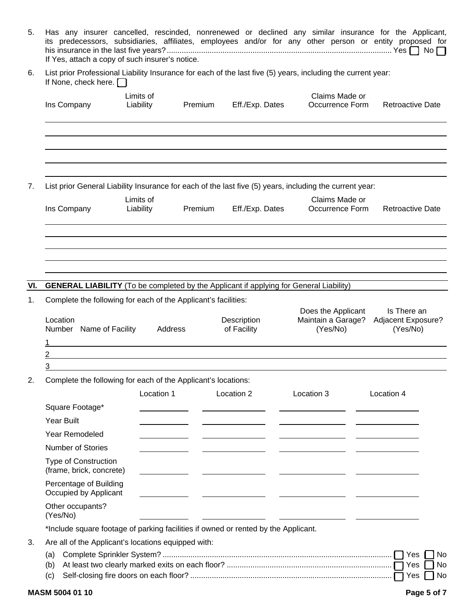| 5.  | Has any insurer cancelled, rescinded, nonrenewed or declined any similar insurance for the Applicant,<br>its predecessors, subsidiaries, affiliates, employees and/or for any other person or entity proposed for<br>If Yes, attach a copy of such insurer's notice. |                                                                                                                      |         |                                                       |                                                                                                                           |                                               |  |  |  |  |
|-----|----------------------------------------------------------------------------------------------------------------------------------------------------------------------------------------------------------------------------------------------------------------------|----------------------------------------------------------------------------------------------------------------------|---------|-------------------------------------------------------|---------------------------------------------------------------------------------------------------------------------------|-----------------------------------------------|--|--|--|--|
| 6.  | List prior Professional Liability Insurance for each of the last five (5) years, including the current year:<br>If None, check here. $\Box$                                                                                                                          |                                                                                                                      |         |                                                       |                                                                                                                           |                                               |  |  |  |  |
|     | Ins Company                                                                                                                                                                                                                                                          | Limits of<br>Liability                                                                                               | Premium | Eff./Exp. Dates                                       | Claims Made or<br>Occurrence Form                                                                                         | <b>Retroactive Date</b>                       |  |  |  |  |
|     |                                                                                                                                                                                                                                                                      |                                                                                                                      |         |                                                       |                                                                                                                           |                                               |  |  |  |  |
| 7.  |                                                                                                                                                                                                                                                                      | Limits of                                                                                                            |         |                                                       | List prior General Liability Insurance for each of the last five (5) years, including the current year:<br>Claims Made or |                                               |  |  |  |  |
|     | Ins Company                                                                                                                                                                                                                                                          | Liability                                                                                                            | Premium | Eff./Exp. Dates                                       | Occurrence Form                                                                                                           | <b>Retroactive Date</b>                       |  |  |  |  |
|     |                                                                                                                                                                                                                                                                      |                                                                                                                      |         |                                                       |                                                                                                                           |                                               |  |  |  |  |
|     |                                                                                                                                                                                                                                                                      |                                                                                                                      |         |                                                       |                                                                                                                           |                                               |  |  |  |  |
| VI. | <b>GENERAL LIABILITY</b> (To be completed by the Applicant if applying for General Liability)                                                                                                                                                                        |                                                                                                                      |         |                                                       |                                                                                                                           |                                               |  |  |  |  |
| 1.  | Complete the following for each of the Applicant's facilities:                                                                                                                                                                                                       |                                                                                                                      |         |                                                       |                                                                                                                           |                                               |  |  |  |  |
|     | Location<br>Number Name of Facility                                                                                                                                                                                                                                  | Address                                                                                                              |         | Description<br>of Facility                            | Does the Applicant<br>Maintain a Garage?<br>(Yes/No)                                                                      | Is There an<br>Adjacent Exposure?<br>(Yes/No) |  |  |  |  |
|     |                                                                                                                                                                                                                                                                      | <u> 1989 - Johann Barbara, marka a shekara tsa 1989 - An tsa 1989 - An tsa 1989 - An tsa 1989 - An tsa 1989 - An</u> |         |                                                       |                                                                                                                           |                                               |  |  |  |  |
|     | 2                                                                                                                                                                                                                                                                    |                                                                                                                      |         |                                                       |                                                                                                                           |                                               |  |  |  |  |
|     | 3                                                                                                                                                                                                                                                                    |                                                                                                                      |         |                                                       |                                                                                                                           |                                               |  |  |  |  |
| 2.  | Complete the following for each of the Applicant's locations:                                                                                                                                                                                                        |                                                                                                                      |         |                                                       |                                                                                                                           |                                               |  |  |  |  |
|     |                                                                                                                                                                                                                                                                      | Location 1                                                                                                           |         | Location 2                                            | Location 3                                                                                                                | Location 4                                    |  |  |  |  |
|     | Square Footage*                                                                                                                                                                                                                                                      |                                                                                                                      |         |                                                       |                                                                                                                           |                                               |  |  |  |  |
|     | <b>Year Built</b>                                                                                                                                                                                                                                                    |                                                                                                                      |         |                                                       |                                                                                                                           |                                               |  |  |  |  |
|     | Year Remodeled                                                                                                                                                                                                                                                       |                                                                                                                      |         | the control of the control of the control of          | <u> Louis Communication de la communication de la communication de la communication de la communication de la com</u>     |                                               |  |  |  |  |
|     | <b>Number of Stories</b>                                                                                                                                                                                                                                             |                                                                                                                      |         |                                                       |                                                                                                                           |                                               |  |  |  |  |
|     | Type of Construction<br>(frame, brick, concrete)                                                                                                                                                                                                                     |                                                                                                                      |         | <u> 1989 - Andrea Andrew Maria Barbara, poeta esp</u> |                                                                                                                           |                                               |  |  |  |  |
|     | Percentage of Building<br>Occupied by Applicant                                                                                                                                                                                                                      |                                                                                                                      |         |                                                       |                                                                                                                           |                                               |  |  |  |  |
|     | Other occupants?<br>(Yes/No)                                                                                                                                                                                                                                         |                                                                                                                      |         |                                                       |                                                                                                                           |                                               |  |  |  |  |
|     | *Include square footage of parking facilities if owned or rented by the Applicant.                                                                                                                                                                                   |                                                                                                                      |         |                                                       |                                                                                                                           |                                               |  |  |  |  |
| 3.  | Are all of the Applicant's locations equipped with:                                                                                                                                                                                                                  |                                                                                                                      |         |                                                       |                                                                                                                           |                                               |  |  |  |  |
|     | (a)                                                                                                                                                                                                                                                                  |                                                                                                                      |         |                                                       |                                                                                                                           | Yes<br><b>No</b>                              |  |  |  |  |
|     | (b)<br>(c)                                                                                                                                                                                                                                                           |                                                                                                                      |         |                                                       |                                                                                                                           | Yes<br>No<br>Yes<br>No                        |  |  |  |  |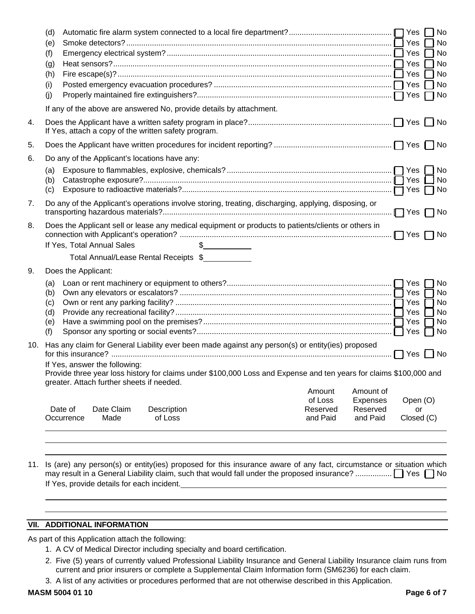|     | (d)<br>(e)<br>(f)<br>(g)<br>(h)<br>(i)<br>(i)        |                                                                                                                                                                                                                                                                                                          |                        |               |  |                                 |                                  |                              | No<br>No<br>No<br>No<br>No<br>No |
|-----|------------------------------------------------------|----------------------------------------------------------------------------------------------------------------------------------------------------------------------------------------------------------------------------------------------------------------------------------------------------------|------------------------|---------------|--|---------------------------------|----------------------------------|------------------------------|----------------------------------|
|     |                                                      | If any of the above are answered No, provide details by attachment.                                                                                                                                                                                                                                      |                        |               |  |                                 |                                  |                              |                                  |
| 4.  | If Yes, attach a copy of the written safety program. |                                                                                                                                                                                                                                                                                                          |                        |               |  |                                 |                                  |                              |                                  |
| 5.  |                                                      |                                                                                                                                                                                                                                                                                                          |                        |               |  |                                 |                                  |                              |                                  |
| 6.  |                                                      | Do any of the Applicant's locations have any:                                                                                                                                                                                                                                                            |                        |               |  |                                 |                                  |                              |                                  |
|     | (a)<br>(b)<br>(c)                                    |                                                                                                                                                                                                                                                                                                          |                        |               |  |                                 |                                  |                              | No<br>No<br>$\bigcap$ No         |
| 7.  |                                                      | Do any of the Applicant's operations involve storing, treating, discharging, applying, disposing, or                                                                                                                                                                                                     |                        |               |  |                                 |                                  | $\Box$ Yes $\Box$ No         |                                  |
| 8.  |                                                      | Does the Applicant sell or lease any medical equipment or products to patients/clients or others in<br>If Yes, Total Annual Sales                                                                                                                                                                        |                        | $\frac{1}{2}$ |  |                                 |                                  | $\Box$ Yes $\Box$ No         |                                  |
|     |                                                      | Total Annual/Lease Rental Receipts \$                                                                                                                                                                                                                                                                    |                        |               |  |                                 |                                  |                              |                                  |
| 9.  |                                                      | Does the Applicant:                                                                                                                                                                                                                                                                                      |                        |               |  |                                 |                                  |                              |                                  |
|     | (a)<br>(b)<br>(c)<br>(d)<br>(e)<br>(f)               |                                                                                                                                                                                                                                                                                                          |                        |               |  |                                 |                                  | Yes<br>  Yes<br>T Yes        | No<br>No<br>No<br>No<br>No<br>No |
|     |                                                      | 10. Has any claim for General Liability ever been made against any person(s) or entity(ies) proposed<br>If Yes, answer the following:<br>Provide three year loss history for claims under \$100,000 Loss and Expense and ten years for claims \$100,000 and<br>greater. Attach further sheets if needed. |                        |               |  |                                 |                                  |                              | - I No                           |
|     |                                                      |                                                                                                                                                                                                                                                                                                          |                        |               |  | Amount                          | Amount of                        |                              |                                  |
|     | Date of                                              | Date Claim<br>Made<br>Occurrence                                                                                                                                                                                                                                                                         | Description<br>of Loss |               |  | of Loss<br>Reserved<br>and Paid | Expenses<br>Reserved<br>and Paid | Open (O)<br>or<br>Closed (C) |                                  |
| 11. |                                                      | Is (are) any person(s) or entity(ies) proposed for this insurance aware of any fact, circumstance or situation which                                                                                                                                                                                     |                        |               |  |                                 |                                  |                              |                                  |

If Yes, provide details for each incident.

### **VII. ADDITIONAL INFORMATION**

As part of this Application attach the following:

- 1. A CV of Medical Director including specialty and board certification.
- 2. Five (5) years of currently valued Professional Liability Insurance and General Liability Insurance claim runs from current and prior insurers or complete a Supplemental Claim Information form (SM6236) for each claim.
- 3. A list of any activities or procedures performed that are not otherwise described in this Application.